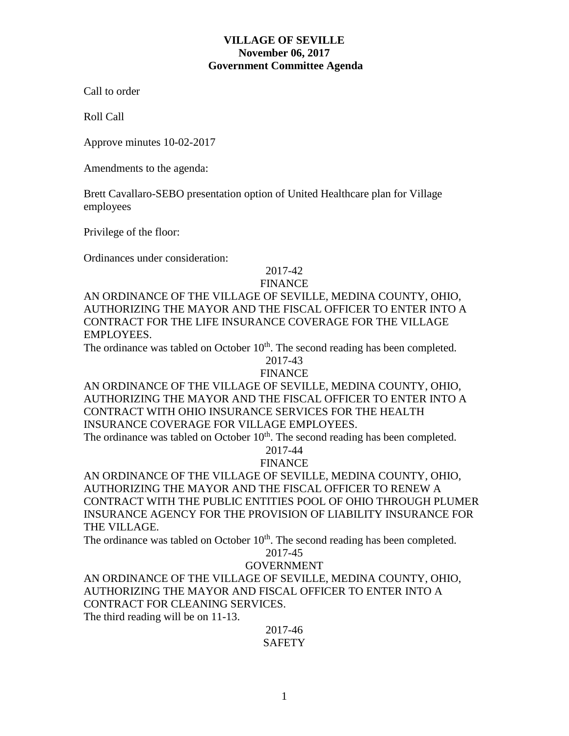## **VILLAGE OF SEVILLE November 06, 2017 Government Committee Agenda**

Call to order

Roll Call

Approve minutes 10-02-2017

Amendments to the agenda:

Brett Cavallaro-SEBO presentation option of United Healthcare plan for Village employees

Privilege of the floor:

Ordinances under consideration:

## 2017-42

## FINANCE

AN ORDINANCE OF THE VILLAGE OF SEVILLE, MEDINA COUNTY, OHIO, AUTHORIZING THE MAYOR AND THE FISCAL OFFICER TO ENTER INTO A CONTRACT FOR THE LIFE INSURANCE COVERAGE FOR THE VILLAGE EMPLOYEES.

The ordinance was tabled on October  $10<sup>th</sup>$ . The second reading has been completed.

2017-43

FINANCE

AN ORDINANCE OF THE VILLAGE OF SEVILLE, MEDINA COUNTY, OHIO, AUTHORIZING THE MAYOR AND THE FISCAL OFFICER TO ENTER INTO A CONTRACT WITH OHIO INSURANCE SERVICES FOR THE HEALTH INSURANCE COVERAGE FOR VILLAGE EMPLOYEES.

The ordinance was tabled on October  $10<sup>th</sup>$ . The second reading has been completed.

2017-44

FINANCE

AN ORDINANCE OF THE VILLAGE OF SEVILLE, MEDINA COUNTY, OHIO, AUTHORIZING THE MAYOR AND THE FISCAL OFFICER TO RENEW A CONTRACT WITH THE PUBLIC ENTITIES POOL OF OHIO THROUGH PLUMER INSURANCE AGENCY FOR THE PROVISION OF LIABILITY INSURANCE FOR THE VILLAGE.

The ordinance was tabled on October  $10<sup>th</sup>$ . The second reading has been completed.

# 2017-45

### GOVERNMENT

AN ORDINANCE OF THE VILLAGE OF SEVILLE, MEDINA COUNTY, OHIO, AUTHORIZING THE MAYOR AND FISCAL OFFICER TO ENTER INTO A CONTRACT FOR CLEANING SERVICES.

The third reading will be on 11-13.

2017-46 **SAFETY**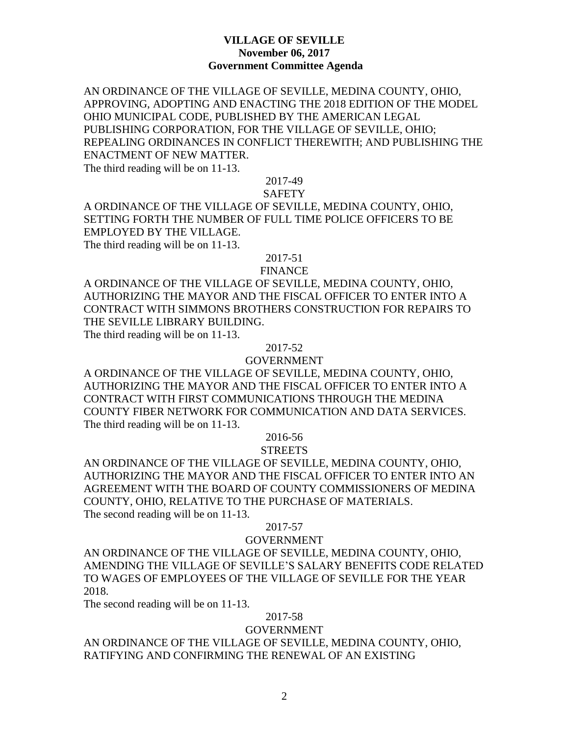## **VILLAGE OF SEVILLE November 06, 2017 Government Committee Agenda**

AN ORDINANCE OF THE VILLAGE OF SEVILLE, MEDINA COUNTY, OHIO, APPROVING, ADOPTING AND ENACTING THE 2018 EDITION OF THE MODEL OHIO MUNICIPAL CODE, PUBLISHED BY THE AMERICAN LEGAL PUBLISHING CORPORATION, FOR THE VILLAGE OF SEVILLE, OHIO; REPEALING ORDINANCES IN CONFLICT THEREWITH; AND PUBLISHING THE ENACTMENT OF NEW MATTER.

The third reading will be on 11-13.

2017-49

### **SAFETY**

A ORDINANCE OF THE VILLAGE OF SEVILLE, MEDINA COUNTY, OHIO, SETTING FORTH THE NUMBER OF FULL TIME POLICE OFFICERS TO BE EMPLOYED BY THE VILLAGE. The third reading will be on 11-13.

2017-51

#### FINANCE

A ORDINANCE OF THE VILLAGE OF SEVILLE, MEDINA COUNTY, OHIO, AUTHORIZING THE MAYOR AND THE FISCAL OFFICER TO ENTER INTO A CONTRACT WITH SIMMONS BROTHERS CONSTRUCTION FOR REPAIRS TO THE SEVILLE LIBRARY BUILDING.

The third reading will be on 11-13.

### 2017-52

### GOVERNMENT

A ORDINANCE OF THE VILLAGE OF SEVILLE, MEDINA COUNTY, OHIO, AUTHORIZING THE MAYOR AND THE FISCAL OFFICER TO ENTER INTO A CONTRACT WITH FIRST COMMUNICATIONS THROUGH THE MEDINA COUNTY FIBER NETWORK FOR COMMUNICATION AND DATA SERVICES. The third reading will be on 11-13.

# 2016-56

## **STREETS**

AN ORDINANCE OF THE VILLAGE OF SEVILLE, MEDINA COUNTY, OHIO, AUTHORIZING THE MAYOR AND THE FISCAL OFFICER TO ENTER INTO AN AGREEMENT WITH THE BOARD OF COUNTY COMMISSIONERS OF MEDINA COUNTY, OHIO, RELATIVE TO THE PURCHASE OF MATERIALS. The second reading will be on 11-13.

### 2017-57

### GOVERNMENT

AN ORDINANCE OF THE VILLAGE OF SEVILLE, MEDINA COUNTY, OHIO, AMENDING THE VILLAGE OF SEVILLE'S SALARY BENEFITS CODE RELATED TO WAGES OF EMPLOYEES OF THE VILLAGE OF SEVILLE FOR THE YEAR 2018.

The second reading will be on 11-13.

### 2017-58

## GOVERNMENT

AN ORDINANCE OF THE VILLAGE OF SEVILLE, MEDINA COUNTY, OHIO, RATIFYING AND CONFIRMING THE RENEWAL OF AN EXISTING